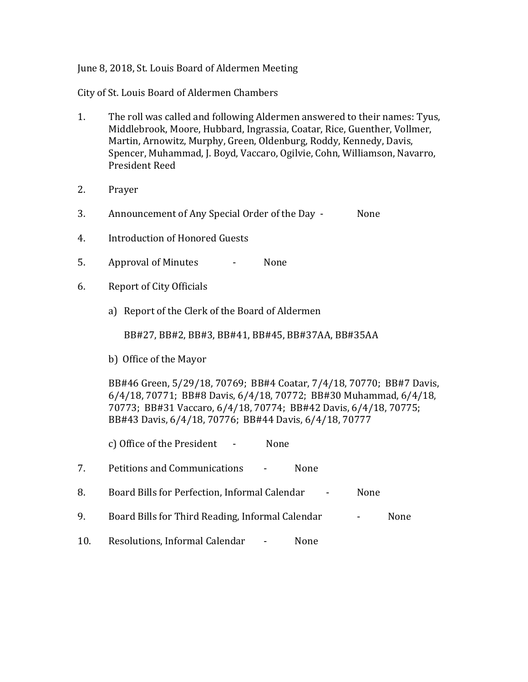## June 8, 2018, St. Louis Board of Aldermen Meeting

City of St. Louis Board of Aldermen Chambers

- 1. The roll was called and following Aldermen answered to their names: Tyus, Middlebrook, Moore, Hubbard, Ingrassia, Coatar, Rice, Guenther, Vollmer, Martin, Arnowitz, Murphy, Green, Oldenburg, Roddy, Kennedy, Davis, Spencer, Muhammad, J. Boyd, Vaccaro, Ogilvie, Cohn, Williamson, Navarro, President Reed
- 2. Prayer
- 3. Announcement of Any Special Order of the Day None
- 4. Introduction of Honored Guests
- 5. Approval of Minutes None
- 6. Report of City Officials
	- a) Report of the Clerk of the Board of Aldermen

BB#27, BB#2, BB#3, BB#41, BB#45, BB#37AA, BB#35AA

b) Office of the Mayor

BB#46 Green, 5/29/18, 70769; BB#4 Coatar, 7/4/18, 70770; BB#7 Davis, 6/4/18, 70771; BB#8 Davis, 6/4/18, 70772; BB#30 Muhammad, 6/4/18, 70773; BB#31 Vaccaro, 6/4/18, 70774; BB#42 Davis, 6/4/18, 70775; BB#43 Davis, 6/4/18, 70776; BB#44 Davis, 6/4/18, 70777

c) Office of the President - None

- 7. Petitions and Communications None
- 8. Board Bills for Perfection, Informal Calendar None
- 9. Board Bills for Third Reading, Informal Calendar Flore Rome
- 10. Resolutions, Informal Calendar None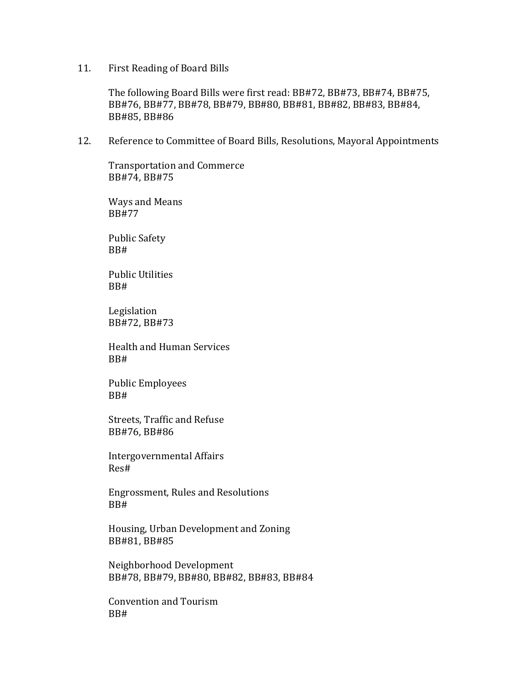11. First Reading of Board Bills

The following Board Bills were first read: BB#72, BB#73, BB#74, BB#75, BB#76, BB#77, BB#78, BB#79, BB#80, BB#81, BB#82, BB#83, BB#84, BB#85, BB#86

12. Reference to Committee of Board Bills, Resolutions, Mayoral Appointments

Transportation and Commerce BB#74, BB#75

Ways and Means BB#77

Public Safety BB#

Public Utilities BB#

Legislation BB#72, BB#73

Health and Human Services BB#

Public Employees BB#

Streets, Traffic and Refuse BB#76, BB#86

Intergovernmental Affairs Res#

Engrossment, Rules and Resolutions BB#

Housing, Urban Development and Zoning BB#81, BB#85

Neighborhood Development BB#78, BB#79, BB#80, BB#82, BB#83, BB#84

Convention and Tourism BB#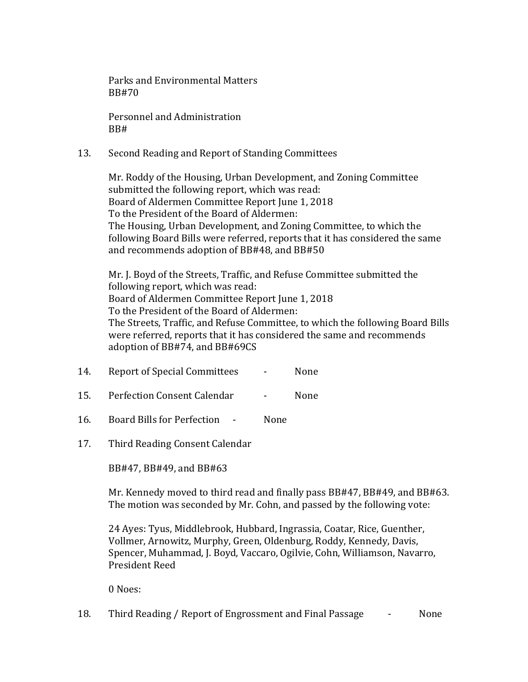Parks and Environmental Matters BB#70

Personnel and Administration BB#

13. Second Reading and Report of Standing Committees

Mr. Roddy of the Housing, Urban Development, and Zoning Committee submitted the following report, which was read: Board of Aldermen Committee Report June 1, 2018 To the President of the Board of Aldermen: The Housing, Urban Development, and Zoning Committee, to which the following Board Bills were referred, reports that it has considered the same and recommends adoption of BB#48, and BB#50

Mr. J. Boyd of the Streets, Traffic, and Refuse Committee submitted the following report, which was read: Board of Aldermen Committee Report June 1, 2018 To the President of the Board of Aldermen: The Streets, Traffic, and Refuse Committee, to which the following Board Bills were referred, reports that it has considered the same and recommends adoption of BB#74, and BB#69CS

- 14. Report of Special Committees None
- 15. Perfection Consent Calendar None
- 16. Board Bills for Perfection None
- 17. Third Reading Consent Calendar

BB#47, BB#49, and BB#63

Mr. Kennedy moved to third read and finally pass BB#47, BB#49, and BB#63. The motion was seconded by Mr. Cohn, and passed by the following vote:

24 Ayes: Tyus, Middlebrook, Hubbard, Ingrassia, Coatar, Rice, Guenther, Vollmer, Arnowitz, Murphy, Green, Oldenburg, Roddy, Kennedy, Davis, Spencer, Muhammad, J. Boyd, Vaccaro, Ogilvie, Cohn, Williamson, Navarro, President Reed

0 Noes:

18. Third Reading / Report of Engrossment and Final Passage  $\qquad \qquad$  None